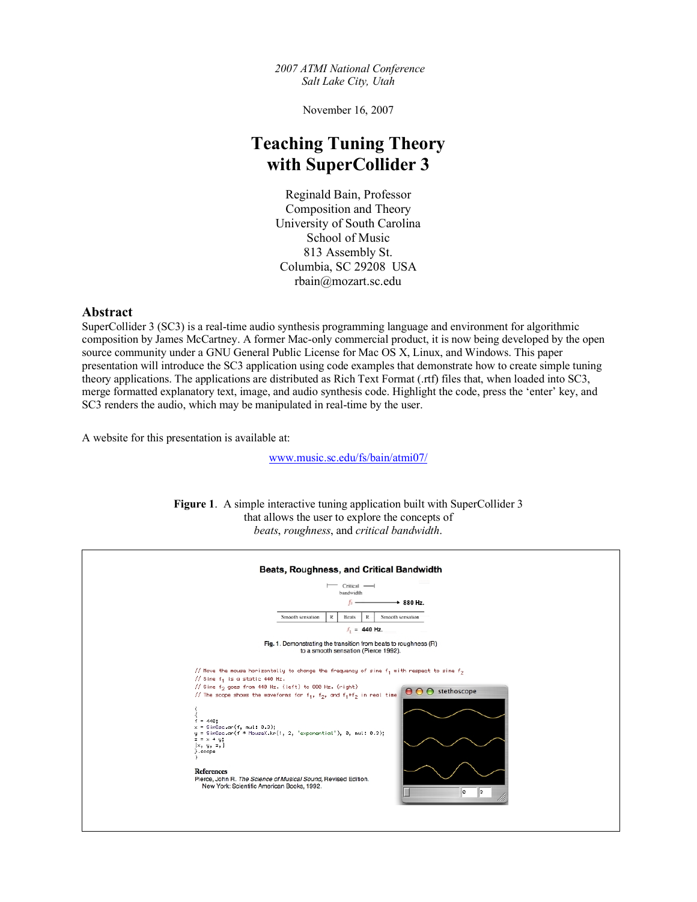*2007 ATMI National Conference Salt Lake City, Utah*

November 16, 2007

# **Teaching Tuning Theory with SuperCollider 3**

Reginald Bain, Professor Composition and Theory University of South Carolina School of Music 813 Assembly St. Columbia, SC 29208 USA rbain@mozart.sc.edu

## **Abstract**

SuperCollider 3 (SC3) is a real-time audio synthesis programming language and environment for algorithmic composition by James McCartney. A former Mac-only commercial product, it is now being developed by the open source community under a GNU General Public License for Mac OS X, Linux, and Windows. This paper presentation will introduce the SC3 application using code examples that demonstrate how to create simple tuning theory applications. The applications are distributed as Rich Text Format (.rtf) files that, when loaded into SC3, merge formatted explanatory text, image, and audio synthesis code. Highlight the code, press the 'enter' key, and SC3 renders the audio, which may be manipulated in real-time by the user.

A website for this presentation is available at:

www.music.sc.edu/fs/bain/atmi07/

**Figure 1**. A simple interactive tuning application built with SuperCollider 3 that allows the user to explore the concepts of *beats*, *roughness*, and *critical bandwidth*.

| Beats, Roughness, and Critical Bandwidth<br>$-$ Critical $-$<br>bandwidth<br>$+880$ Hz.                                                                                                                                                                                                                                                                                                                                                                                                                                                                                                                                                |
|----------------------------------------------------------------------------------------------------------------------------------------------------------------------------------------------------------------------------------------------------------------------------------------------------------------------------------------------------------------------------------------------------------------------------------------------------------------------------------------------------------------------------------------------------------------------------------------------------------------------------------------|
| Smooth sensation<br>Smooth sensation<br>R<br><b>Beats</b><br>R                                                                                                                                                                                                                                                                                                                                                                                                                                                                                                                                                                         |
| $f_1 = 440$ Hz.                                                                                                                                                                                                                                                                                                                                                                                                                                                                                                                                                                                                                        |
| Fig. 1. Demonstrating the transition from beats to roughness (R)<br>to a smooth sensation (Pierce 1992).                                                                                                                                                                                                                                                                                                                                                                                                                                                                                                                               |
| // Move the mouse horizontally to change the frequency of sine f <sub>1</sub> with respect to sine f <sub>2</sub><br>// Sine $f_1$ is a static 440 Hz.<br>// Sine f <sub>2</sub> goes from 440 Hz. (left) to 880 Hz. (right)<br>O O stethoscope<br>// The scope shows the waveforms for $f_1$ , $f_2$ , and $f_1+f_2$ in real time<br>$f = 440$ ;<br>$x =$ SinOse.ar(f, mul: 0.3);<br>$y =$ SinOse.ar(f * MouseX.kr(1, 2, 'exponential'), 0, mul: 0.3);<br>$z = x + y;$<br>[x, y, z, ]<br>}.scope<br><b>References</b><br>Pierce, John R. The Science of Musical Sound, Revised Edition.<br>New York: Scientific American Books, 1992. |